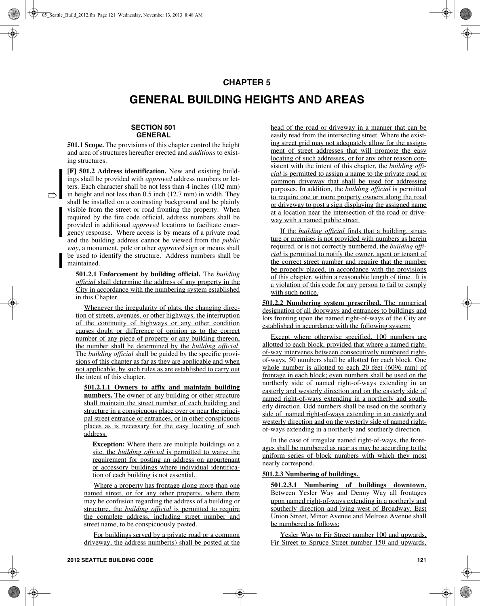## **CHAPTER 5**

# **GENERAL BUILDING HEIGHTS AND AREAS**

## **SECTION 501 GENERAL**

**501.1 Scope.** The provisions of this chapter control the height and area of structures hereafter erected and *additions* to existing structures.

**[F] 501.2 Address identification.** New and existing buildings shall be provided with *approved* address numbers or letters. Each character shall be not less than 4 inches (102 mm) in height and not less than 0.5 inch (12.7 mm) in width. They shall be installed on a contrasting background and be plainly visible from the street or road fronting the property. When required by the fire code official, address numbers shall be provided in additional *approved* locations to facilitate emergency response. Where access is by means of a private road and the building address cannot be viewed from the *public way*, a monument, pole or other *approved* sign or means shall be used to identify the structure. Address numbers shall be maintained.

 $\rightarrow$ 

**501.2.1 Enforcement by building official.** The *building official* shall determine the address of any property in the City in accordance with the numbering system established in this Chapter.

Whenever the irregularity of plats, the changing direction of streets, avenues, or other highways, the interruption of the continuity of highways or any other condition causes doubt or difference of opinion as to the correct number of any piece of property or any building thereon, the number shall be determined by the *building official*. The *building official* shall be guided by the specific provisions of this chapter as far as they are applicable and when not applicable, by such rules as are established to carry out the intent of this chapter.

**501.2.1.1 Owners to affix and maintain building numbers.** The owner of any building or other structure shall maintain the street number of each building and structure in a conspicuous place over or near the principal street entrance or entrances, or in other conspicuous places as is necessary for the easy locating of such address.

**Exception:** Where there are multiple buildings on a site, the *building official* is permitted to waive the requirement for posting an address on appurtenant or accessory buildings where individual identification of each building is not essential.

Where a property has frontage along more than one named street, or for any other property, where there may be confusion regarding the address of a building or structure, the *building official* is permitted to require the complete address, including street number and street name, to be conspicuously posted.

For buildings served by a private road or a common driveway, the address number(s) shall be posted at the head of the road or driveway in a manner that can be easily read from the intersecting street. Where the existing street grid may not adequately allow for the assignment of street addresses that will promote the easy locating of such addresses, or for any other reason consistent with the intent of this chapter, the *building official* is permitted to assign a name to the private road or common driveway that shall be used for addressing purposes. In addition, the *building official* is permitted to require one or more property owners along the road or driveway to post a sign displaying the assigned name at a location near the intersection of the road or driveway with a named public street.

If the *building official* finds that a building, structure or premises is not provided with numbers as herein required, or is not correctly numbered, the *building official* is permitted to notify the owner, agent or tenant of the correct street number and require that the number be properly placed, in accordance with the provisions of this chapter, within a reasonable length of time. It is a violation of this code for any person to fail to comply with such notice.

**501.2.2 Numbering system prescribed.** The numerical designation of all doorways and entrances to buildings and lots fronting upon the named right-of-ways of the City are established in accordance with the following system:

Except where otherwise specified, 100 numbers are allotted to each block, provided that where a named rightof-way intervenes between consecutively numbered rightof-ways, 50 numbers shall be allotted for each block. One whole number is allotted to each 20 feet (6096 mm) of frontage in each block; even numbers shall be used on the northerly side of named right-of-ways extending in an easterly and westerly direction and on the easterly side of named right-of-ways extending in a northerly and southerly direction. Odd numbers shall be used on the southerly side of named right-of-ways extending in an easterly and westerly direction and on the westerly side of named rightof-ways extending in a northerly and southerly direction.

In the case of irregular named right-of-ways, the frontages shall be numbered as near as may be according to the uniform series of block numbers with which they most nearly correspond.

#### **501.2.3 Numbering of buildings.**

**501.2.3.1 Numbering of buildings downtown.** Between Yesler Way and Denny Way all frontages upon named right-of-ways extending in a northerly and southerly direction and lying west of Broadway, East Union Street, Minor Avenue and Melrose Avenue shall be numbered as follows:

Yesler Way to Fir Street number 100 and upwards, Fir Street to Spruce Street number 150 and upwards,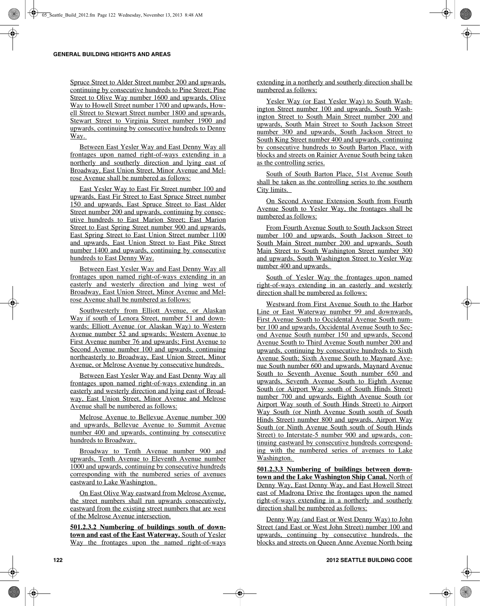Spruce Street to Alder Street number 200 and upwards, continuing by consecutive hundreds to Pine Street; Pine Street to Olive Way number 1600 and upwards, Olive Way to Howell Street number 1700 and upwards, Howell Street to Stewart Street number 1800 and upwards, Stewart Street to Virginia Street number 1900 and upwards, continuing by consecutive hundreds to Denny Way.

Between East Yesler Way and East Denny Way all frontages upon named right-of-ways extending in a northerly and southerly direction and lying east of Broadway, East Union Street, Minor Avenue and Melrose Avenue shall be numbered as follows:

East Yesler Way to East Fir Street number 100 and upwards, East Fir Street to East Spruce Street number 150 and upwards, East Spruce Street to East Alder Street number 200 and upwards, continuing by consecutive hundreds to East Marion Street; East Marion Street to East Spring Street number 900 and upwards, East Spring Street to East Union Street number 1100 and upwards, East Union Street to East Pike Street number 1400 and upwards, continuing by consecutive hundreds to East Denny Way.

Between East Yesler Way and East Denny Way all frontages upon named right-of-ways extending in an easterly and westerly direction and lying west of Broadway, East Union Street, Minor Avenue and Melrose Avenue shall be numbered as follows:

Southwesterly from Elliott Avenue, or Alaskan Way if south of Lenora Street, number 51 and downwards; Elliott Avenue (or Alaskan Way) to Western Avenue number 52 and upwards; Western Avenue to First Avenue number 76 and upwards; First Avenue to Second Avenue number 100 and upwards, continuing northeasterly to Broadway, East Union Street, Minor Avenue, or Melrose Avenue by consecutive hundreds.

Between East Yesler Way and East Denny Way all frontages upon named right-of-ways extending in an easterly and westerly direction and lying east of Broadway, East Union Street, Minor Avenue and Melrose Avenue shall be numbered as follows:

Melrose Avenue to Bellevue Avenue number 300 and upwards, Bellevue Avenue to Summit Avenue number 400 and upwards, continuing by consecutive hundreds to Broadway.

Broadway to Tenth Avenue number 900 and upwards, Tenth Avenue to Eleventh Avenue number 1000 and upwards, continuing by consecutive hundreds corresponding with the numbered series of avenues eastward to Lake Washington.

On East Olive Way eastward from Melrose Avenue, the street numbers shall run upwards consecutively, eastward from the existing street numbers that are west of the Melrose Avenue intersection.

**501.2.3.2 Numbering of buildings south of downtown and east of the East Waterway.** South of Yesler Way the frontages upon the named right-of-ways extending in a northerly and southerly direction shall be numbered as follows:

Yesler Way (or East Yesler Way) to South Washington Street number 100 and upwards, South Washington Street to South Main Street number 200 and upwards, South Main Street to South Jackson Street number 300 and upwards, South Jackson Street to South King Street number 400 and upwards, continuing by consecutive hundreds to South Barton Place, with blocks and streets on Rainier Avenue South being taken as the controlling series.

South of South Barton Place, 51st Avenue South shall be taken as the controlling series to the southern City limits.

On Second Avenue Extension South from Fourth Avenue South to Yesler Way, the frontages shall be numbered as follows:

From Fourth Avenue South to South Jackson Street number 100 and upwards, South Jackson Street to South Main Street number 200 and upwards, South Main Street to South Washington Street number 300 and upwards, South Washington Street to Yesler Way number 400 and upwards.

South of Yesler Way the frontages upon named right-of-ways extending in an easterly and westerly direction shall be numbered as follows:

Westward from First Avenue South to the Harbor Line or East Waterway number 99 and downwards, First Avenue South to Occidental Avenue South number 100 and upwards, Occidental Avenue South to Second Avenue South number 150 and upwards, Second Avenue South to Third Avenue South number 200 and upwards, continuing by consecutive hundreds to Sixth Avenue South; Sixth Avenue South to Maynard Avenue South number 600 and upwards, Maynard Avenue South to Seventh Avenue South number 650 and upwards, Seventh Avenue South to Eighth Avenue South (or Airport Way south of South Hinds Street) number 700 and upwards, Eighth Avenue South (or Airport Way south of South Hinds Street) to Airport Way South (or Ninth Avenue South south of South Hinds Street) number 800 and upwards, Airport Way South (or Ninth Avenue South south of South Hinds Street) to Interstate-5 number 900 and upwards, continuing eastward by consecutive hundreds corresponding with the numbered series of avenues to Lake Washington.

**501.2.3.3 Numbering of buildings between downtown and the Lake Washington Ship Canal.** North of Denny Way, East Denny Way, and East Howell Street east of Madrona Drive the frontages upon the named right-of-ways extending in a northerly and southerly direction shall be numbered as follows:

Denny Way (and East or West Denny Way) to John Street (and East or West John Street) number 100 and upwards, continuing by consecutive hundreds, the blocks and streets on Queen Anne Avenue North being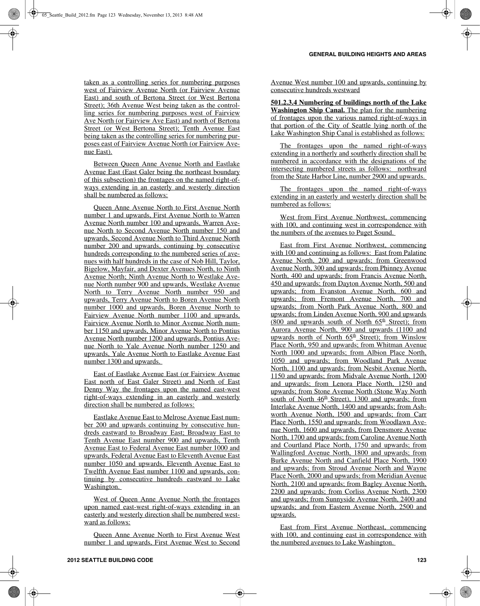taken as a controlling series for numbering purposes west of Fairview Avenue North (or Fairview Avenue East) and south of Bertona Street (or West Bertona Street); 36th Avenue West being taken as the controlling series for numbering purposes west of Fairview Ave North (or Fairview Ave East) and north of Bertona Street (or West Bertona Street); Tenth Avenue East being taken as the controlling series for numbering purposes east of Fairview Avenue North (or Fairview Avenue East).

Between Queen Anne Avenue North and Eastlake Avenue East (East Galer being the northeast boundary of this subsection) the frontages on the named right-ofways extending in an easterly and westerly direction shall be numbered as follows:

Queen Anne Avenue North to First Avenue North number 1 and upwards, First Avenue North to Warren Avenue North number 100 and upwards, Warren Avenue North to Second Avenue North number 150 and upwards, Second Avenue North to Third Avenue North number 200 and upwards, continuing by consecutive hundreds corresponding to the numbered series of avenues with half hundreds in the case of Nob Hill, Taylor, Bigelow, Mayfair, and Dexter Avenues North, to Ninth Avenue North; Ninth Avenue North to Westlake Avenue North number 900 and upwards, Westlake Avenue North to Terry Avenue North number 950 and upwards, Terry Avenue North to Boren Avenue North number 1000 and upwards, Boren Avenue North to Fairview Avenue North number 1100 and upwards, Fairview Avenue North to Minor Avenue North number 1150 and upwards, Minor Avenue North to Pontius Avenue North number 1200 and upwards, Pontius Avenue North to Yale Avenue North number 1250 and upwards, Yale Avenue North to Eastlake Avenue East number 1300 and upwards.

East of Eastlake Avenue East (or Fairview Avenue East north of East Galer Street) and North of East Denny Way the frontages upon the named east-west right-of-ways extending in an easterly and westerly direction shall be numbered as follows:

Eastlake Avenue East to Melrose Avenue East number 200 and upwards continuing by consecutive hundreds eastward to Broadway East; Broadway East to Tenth Avenue East number 900 and upwards, Tenth Avenue East to Federal Avenue East number 1000 and upwards, Federal Avenue East to Eleventh Avenue East number 1050 and upwards, Eleventh Avenue East to Twelfth Avenue East number 1100 and upwards, continuing by consecutive hundreds eastward to Lake Washington.

West of Queen Anne Avenue North the frontages upon named east-west right-of-ways extending in an easterly and westerly direction shall be numbered westward as follows:

Queen Anne Avenue North to First Avenue West number 1 and upwards, First Avenue West to Second Avenue West number 100 and upwards, continuing by consecutive hundreds westward

**501.2.3.4 Numbering of buildings north of the Lake Washington Ship Canal.** The plan for the numbering of frontages upon the various named right-of-ways in that portion of the City of Seattle lying north of the Lake Washington Ship Canal is established as follows:

The frontages upon the named right-of-ways extending in a northerly and southerly direction shall be numbered in accordance with the designations of the intersecting numbered streets as follows: northward from the State Harbor Line, number 2900 and upwards.

The frontages upon the named right-of-ways extending in an easterly and westerly direction shall be numbered as follows:

West from First Avenue Northwest, commencing with 100, and continuing west in correspondence with the numbers of the avenues to Puget Sound.

East from First Avenue Northwest, commencing with 100 and continuing as follows: East from Palatine Avenue North, 200 and upwards; from Greenwood Avenue North, 300 and upwards; from Phinney Avenue North, 400 and upwards; from Francis Avenue North, 450 and upwards; from Dayton Avenue North, 500 and upwards; from Evanston Avenue North, 600 and upwards; from Fremont Avenue North, 700 and upwards; from North Park Avenue North, 800 and upwards; from Linden Avenue North, 900 and upwards (800 and upwards south of North  $65<sup>th</sup>$  Street); from Aurora Avenue North, 900 and upwards (1100 and upwards north of North  $65<sup>th</sup>$  Street); from Winslow Place North, 950 and upwards; from Whitman Avenue North 1000 and upwards; from Albion Place North, 1050 and upwards; from Woodland Park Avenue North, 1100 and upwards; from Nesbit Avenue North, 1150 and upwards; from Midvale Avenue North, 1200 and upwards; from Lenora Place North, 1250 and upwards; from Stone Avenue North (Stone Way North south of North 46<sup>th</sup> Street), 1300 and upwards; from Interlake Avenue North, 1400 and upwards; from Ashworth Avenue North, l500 and upwards; from Carr Place North, 1550 and upwards; from Woodlawn Avenue North, 1600 and upwards, from Densmore Avenue North, 1700 and upwards; from Caroline Avenue North and Courtland Place North, 1750 and upwards; from Wallingford Avenue North, 1800 and upwards; from Burke Avenue North and Canfield Place North, 1900 and upwards; from Stroud Avenue North and Wayne Place North, 2000 and upwards; from Meridian Avenue North, 2100 and upwards; from Bagley Avenue North, 2200 and upwards; from Corliss Avenue North, 2300 and upwards; from Sunnyside Avenue North, 2400 and upwards; and from Eastern Avenue North, 2500 and upwards.

East from First Avenue Northeast, commencing with 100, and continuing east in correspondence with the numbered avenues to Lake Washington.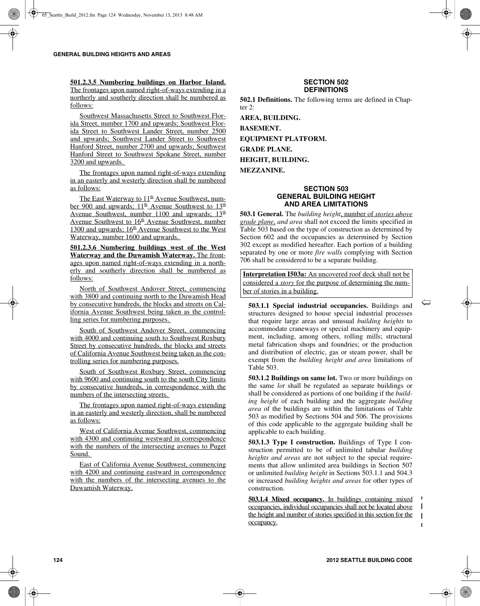**501.2.3.5 Numbering buildings on Harbor Island.** The frontages upon named right-of-ways extending in a northerly and southerly direction shall be numbered as follows:

Southwest Massachusetts Street to Southwest Florida Street, number 1700 and upwards; Southwest Florida Street to Southwest Lander Street, number 2500 and upwards; Southwest Lander Street to Southwest Hanford Street, number 2700 and upwards; Southwest Hanford Street to Southwest Spokane Street, number 3200 and upwards.

The frontages upon named right-of-ways extending in an easterly and westerly direction shall be numbered as follows:

The East Waterway to  $11<sup>th</sup>$  Avenue Southwest, number 900 and upwards;  $11^{\text{th}}$  Avenue Southwest to  $13^{\text{th}}$ Avenue Southwest, number 1100 and upwards;  $13<sup>th</sup>$ Avenue Southwest to  $16<sup>th</sup>$  Avenue Southwest, number 1300 and upwards;  $16<sup>th</sup>$  Avenue Southwest to the West Waterway, number 1600 and upwards.

**501.2.3.6 Numbering buildings west of the West Waterway and the Duwamish Waterway.** The frontages upon named right-of-ways extending in a northerly and southerly direction shall be numbered as follows:

North of Southwest Andover Street, commencing with 3800 and continuing north to the Duwamish Head by consecutive hundreds, the blocks and streets on California Avenue Southwest being taken as the controlling series for numbering purposes.

South of Southwest Andover Street, commencing with 4000 and continuing south to Southwest Roxbury Street by consecutive hundreds, the blocks and streets of California Avenue Southwest being taken as the controlling series for numbering purposes.

South of Southwest Roxbury Street, commencing with 9600 and continuing south to the south City limits by consecutive hundreds, in correspondence with the numbers of the intersecting streets.

The frontages upon named right-of-ways extending in an easterly and westerly direction, shall be numbered as follows:

West of California Avenue Southwest, commencing with 4300 and continuing westward in correspondence with the numbers of the intersecting avenues to Puget Sound.

East of California Avenue Southwest, commencing with 4200 and continuing eastward in correspondence with the numbers of the intersecting avenues to the Duwamish Waterway.

#### **SECTION 502 DEFINITIONS**

**502.1 Definitions.** The following terms are defined in Chapter  $2$ :

**AREA, BUILDING. BASEMENT.**

**EQUIPMENT PLATFORM.**

**GRADE PLANE.**

**HEIGHT, BUILDING.**

**MEZZANINE.**

## **SECTION 503 GENERAL BUILDING HEIGHT AND AREA LIMITATIONS**

**503.1 General.** The *building height*, number of *stories above grade plane*, *and area* shall not exceed the limits specified in Table 503 based on the type of construction as determined by Section 602 and the occupancies as determined by Section 302 except as modified hereafter. Each portion of a building separated by one or more *fire walls* complying with Section 706 shall be considered to be a separate building.

**Interpretation I503a:** An uncovered roof deck shall not be considered a *story* for the purpose of determining the number of stories in a building.

**503.1.1 Special industrial occupancies.** Buildings and structures designed to house special industrial processes that require large areas and unusual *building heights* to accommodate craneways or special machinery and equipment, including, among others, rolling mills; structural metal fabrication shops and foundries; or the production and distribution of electric, gas or steam power, shall be exempt from the *building height and area* limitations of Table 503.

 $\sum$ 

**503.1.2 Buildings on same lot.** Two or more buildings on the same *lot* shall be regulated as separate buildings or shall be considered as portions of one building if the *building height* of each building and the aggregate *building area* of the buildings are within the limitations of Table 503 as modified by Sections 504 and 506. The provisions of this code applicable to the aggregate building shall be applicable to each building.

**503.1.3 Type I construction.** Buildings of Type I construction permitted to be of unlimited tabular *building heights and areas* are not subject to the special requirements that allow unlimited area buildings in Section 507 or unlimited *building height* in Sections 503.1.1 and 504.3 or increased *building heights and areas* for other types of construction.

**503.1.4 Mixed occupancy.** In buildings containing mixed occupancies, individual occupancies shall not be located above  $\mathbf{I}$ the height and number of stories specified in this section for the  $\mathbf{I}$ occupancy.  $\mathbf{I}$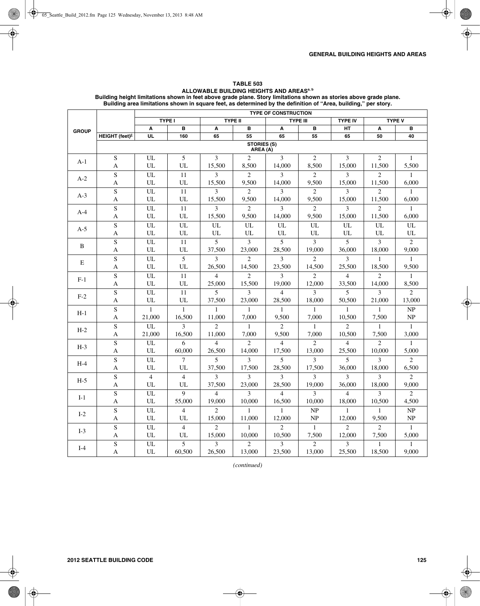#### **TABLE 503 ALLOWABLE BUILDING HEIGHTS AND AREASa, b**

**Building height limitations shown in feet above grade plane. Story limitations shown as stories above grade plane. Building area limitations shown in square feet, as determined by the definition of "Area, building," per story.**

|              |                                | <b>TYPE OF CONSTRUCTION</b> |                  |                |                |                |                 |                |                |                                 |  |  |  |  |
|--------------|--------------------------------|-----------------------------|------------------|----------------|----------------|----------------|-----------------|----------------|----------------|---------------------------------|--|--|--|--|
|              |                                |                             | <b>TYPE I</b>    |                | <b>TYPE II</b> |                | <b>TYPE III</b> | <b>TYPE IV</b> |                | <b>TYPE V</b>                   |  |  |  |  |
| <b>GROUP</b> |                                | A                           | в                | A              | B              | A              | B               | HT             | A              | B                               |  |  |  |  |
|              | HEIGHT (feet) <sup>c</sup>     | UL                          | 160              | 65             | 55             | 65             | 55              | 65             | 50             | 40                              |  |  |  |  |
|              | <b>STORIES (S)</b><br>AREA (A) |                             |                  |                |                |                |                 |                |                |                                 |  |  |  |  |
| $A-1$        | S                              | UL                          | 5                | 3              | $\overline{c}$ | 3              | $\overline{c}$  | 3              | $\overline{c}$ | 1                               |  |  |  |  |
|              | A                              | UL                          | UL               | 15,500         | 8,500          | 14,000         | 8,500           | 15,000         | 11,500         | 5,500                           |  |  |  |  |
|              | ${\bf S}$                      | UL                          | 11               | 3              | $\overline{2}$ | 3              | $\overline{2}$  | 3              | $\overline{2}$ | $\mathbf{1}$                    |  |  |  |  |
| $A-2$        | A                              | UL                          | UL               | 15,500         | 9,500          | 14,000         | 9,500           | 15,000         | 11,500         | 6,000                           |  |  |  |  |
| $A-3$        | $\mathbf S$                    | UL                          | 11               | 3              | $\overline{2}$ | 3              | $\overline{2}$  | 3              | $\overline{2}$ | $\mathbf{1}$                    |  |  |  |  |
|              | A                              | UL                          | UL               | 15,500         | 9,500          | 14,000         | 9,500           | 15,000         | 11,500         | 6,000                           |  |  |  |  |
| $A-4$        | ${\bf S}$                      | UL                          | 11               | 3              | 2              | 3              | $\overline{2}$  | 3              | 2              | $\mathbf{1}$                    |  |  |  |  |
|              | A                              | UL                          | UL               | 15,500         | 9,500          | 14,000         | 9,500           | 15,000         | 11,500         | 6,000                           |  |  |  |  |
| $A-5$        | ${\bf S}$                      | UL                          | UL               | UL             | UL             | UL             | UL              | UL             | UL             | $\ensuremath{\text{UL}}$        |  |  |  |  |
|              | A                              | UL                          | UL               | UL             | $UL$           | UL             | UL              | UL             | UL             | UL                              |  |  |  |  |
| $\, {\bf B}$ | S                              | UL                          | 11               | 5              | 3              | 5              | 3               | 5              | 3              | $\overline{2}$                  |  |  |  |  |
|              | A                              | UL                          | UL               | 37,500         | 23,000         | 28,500         | 19,000          | 36,000         | 18,000         | 9,000                           |  |  |  |  |
| E            | ${\bf S}$                      | UL                          | $\overline{5}$   | 3              | 2              | 3              | $\overline{2}$  | 3              | $\mathbf{1}$   | $\mathbf{1}$                    |  |  |  |  |
|              | A                              | UL                          | UL               | 26,500         | 14,500         | 23,500         | 14,500          | 25,500         | 18,500         | 9,500                           |  |  |  |  |
| $F-1$        | S                              | UL                          | 11               | $\overline{4}$ | $\overline{2}$ | 3              | $\overline{c}$  | $\overline{4}$ | $\overline{2}$ | $\mathbf{1}$                    |  |  |  |  |
|              | $\mathbf{A}$                   | UL                          | UL               | 25,000         | 15,500         | 19,000         | 12,000          | 33,500         | 14,000         | 8,500                           |  |  |  |  |
| $F-2$        | ${\bf S}$                      | UL                          | 11               | 5              | 3              | $\overline{4}$ | 3               | 5              | 3              | $\overline{2}$                  |  |  |  |  |
|              | $\mathbf{A}$                   | UL                          | UL               | 37,500         | 23,000         | 28,500         | 18,000          | 50,500         | 21,000         | 13,000                          |  |  |  |  |
| $H-1$        | ${\bf S}$                      | $\mathbf{1}$                | $\mathbf{1}$     | 1              | $\mathbf{1}$   | 1              | 1               | $\mathbf{1}$   | 1              | NP                              |  |  |  |  |
|              | $\mathbf{A}$                   | 21,000                      | 16,500           | 11,000         | 7,000          | 9,500          | 7,000           | 10,500         | 7,500          | NP                              |  |  |  |  |
| $H-2$        | S                              | UL                          | 3                | $\overline{2}$ | $\mathbf{1}$   | $\overline{c}$ | $\mathbf{1}$    | $\overline{2}$ | $\mathbf{1}$   | $\mathbf{1}$                    |  |  |  |  |
|              | A                              | 21,000                      | 16,500           | 11,000         | 7,000          | 9,500          | 7,000           | 10,500         | 7,500          | 3,000                           |  |  |  |  |
| $H-3$        | $\mathbf S$                    | UL                          | 6                | $\overline{4}$ | $\overline{c}$ | $\overline{4}$ | $\overline{c}$  | $\overline{4}$ | $\overline{2}$ | $\mathbf{1}$                    |  |  |  |  |
|              | $\boldsymbol{\mathsf{A}}$      | UL                          | 60,000           | 26,500         | 14,000         | 17,500         | 13,000          | 25,500         | 10,000         | 5,000                           |  |  |  |  |
| $H-4$        | ${\bf S}$                      | UL                          | $\boldsymbol{7}$ | 5              | 3              | 5              | 3               | 5              | 3              | $\overline{c}$                  |  |  |  |  |
|              | A                              | UL                          | UL               | 37,500         | 17,500         | 28,500         | 17,500          | 36,000         | 18,000         | 6,500                           |  |  |  |  |
| $H-5$        | ${\bf S}$                      | $\overline{4}$              | $\overline{4}$   | 3              | 3              | 3              | 3               | $\mathcal{E}$  | 3              | $\overline{2}$                  |  |  |  |  |
|              | A                              | UL                          | UL               | 37,500         | 23,000         | 28,500         | 19.000          | 36,000         | 18,000         | 9,000                           |  |  |  |  |
| $I-1$        | $\overline{\mathbf{S}}$        | UL                          | 9                | $\overline{4}$ | 3              | $\overline{4}$ | 3               | $\overline{4}$ | 3              | $\overline{2}$                  |  |  |  |  |
|              | $\mathbf{A}$                   | UL                          | 55,000           | 19,000         | 10,000         | 16,500         | 10,000          | 18,000         | 10,500         | 4,500                           |  |  |  |  |
| $I-2$        | S                              | UL                          | $\overline{4}$   | $\overline{c}$ | 1              | 1              | NP              | 1              | $\mathbf{1}$   | $\ensuremath{\text{NP}}\xspace$ |  |  |  |  |
|              | $\mathbf{A}$                   | UL                          | UL               | 15,000         | 11,000         | 12,000         | NP              | 12,000         | 9,500          | $\ensuremath{\text{NP}}\xspace$ |  |  |  |  |
| $I-3$        | S                              | UL                          | $\overline{4}$   | $\overline{2}$ | $\mathbf{1}$   | $\overline{2}$ | $\mathbf{1}$    | $\overline{c}$ | $\overline{2}$ | $\mathbf{1}$                    |  |  |  |  |
|              | $\boldsymbol{\mathsf{A}}$      | UL                          | UL               | 15,000         | 10,000         | 10,500         | 7,500           | 12,000         | 7,500          | 5,000                           |  |  |  |  |
| $I-4$        | ${\bf S}$                      | UL                          | 5                | 3              | $\overline{2}$ | 3              | $\overline{2}$  | 3              | $\mathbf{1}$   | 1                               |  |  |  |  |
|              | A                              | UL                          | 60,500           | 26,500         | 13,000         | 23,500         | 13,000          | 25,500         | 18,500         | 9,000                           |  |  |  |  |

*(continued)*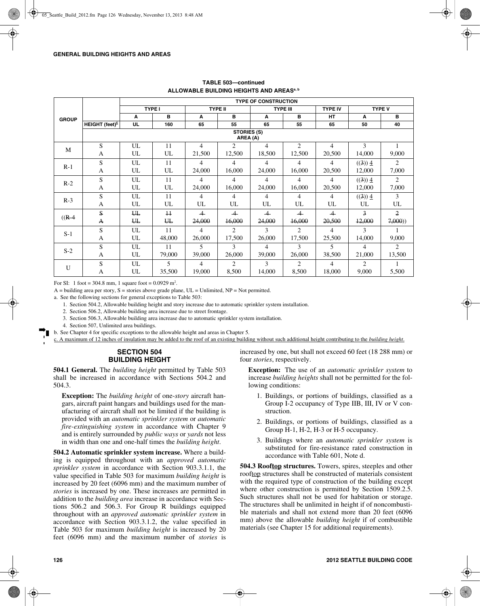|              |                                | <b>TYPE OF CONSTRUCTION</b> |                          |                |                |                |                 |                |                |                |  |  |  |  |
|--------------|--------------------------------|-----------------------------|--------------------------|----------------|----------------|----------------|-----------------|----------------|----------------|----------------|--|--|--|--|
|              |                                |                             | <b>TYPE I</b>            | <b>TYPE II</b> |                |                | <b>TYPE III</b> | <b>TYPE IV</b> |                | <b>TYPE V</b>  |  |  |  |  |
| <b>GROUP</b> |                                | A                           | B                        | A              | B              | A              | B               | <b>HT</b>      | A              | в              |  |  |  |  |
|              | HEIGHT (feet) <sup>c</sup>     | <b>UL</b>                   | 160                      | 65             | 55             | 65             | 55              | 65             | 50             | 40             |  |  |  |  |
|              | <b>STORIES (S)</b><br>AREA (A) |                             |                          |                |                |                |                 |                |                |                |  |  |  |  |
|              | S                              | UL                          | 11                       | $\overline{4}$ | 2              | 4              | $\overline{c}$  | 4              | 3              |                |  |  |  |  |
| M            | A                              | UL                          | UL                       | 21,500         | 12,500         | 18,500         | 12,500          | 20,500         | 14,000         | 9,000          |  |  |  |  |
| $R-1$        | S                              | UL                          | 11                       | $\overline{4}$ | 4              | 4              | 4               | 4              | ((3)) 4        | $\overline{2}$ |  |  |  |  |
|              | A                              | UL                          | UL                       | 24,000         | 16,000         | 24,000         | 16,000          | 20,500         | 12,000         | 7,000          |  |  |  |  |
| $R-2$        | S                              | UL                          | 11                       | 4              | 4              | 4              | 4               | 4              | ((3)) 4        | $\overline{2}$ |  |  |  |  |
|              | A                              | UL                          | UL                       | 24,000         | 16,000         | 24,000         | 16,000          | 20,500         | 12,000         | 7,000          |  |  |  |  |
| $R-3$        | ${\bf S}$                      | UL                          | 11                       | 4              | 4              | 4              | 4               | 4              | ((3)) 4        | 3              |  |  |  |  |
|              | A                              | UL                          | UL                       | UL             | UL             | UL             | UL              | UL             | UL             | UL             |  |  |  |  |
|              | S                              | ₩                           | $\overline{11}$          | $\overline{4}$ | $\overline{4}$ | $\overline{a}$ | $\overline{4}$  | $\overline{a}$ | 3              | 2              |  |  |  |  |
| $((R-4)$     | $\mathbf{A}$                   | ₩                           | Щ                        | 24,000         | 16,000         | 24,000         | 16,000          | 20,500         | 12,000         | 7,000)         |  |  |  |  |
| $S-1$        | S                              | UL                          | 11                       | $\overline{4}$ | $\overline{c}$ | 3              | 2               | 4              | 3              |                |  |  |  |  |
|              | A                              | UL                          | 48,000                   | 26,000         | 17,500         | 26,000         | 17,500          | 25,500         | 14,000         | 9,000          |  |  |  |  |
| $S-2$        | S                              | UL                          | 11                       | 5              | 3              | 4              | 3               | 5              | 4              | $\overline{2}$ |  |  |  |  |
|              | A                              | UL                          | 79,000                   | 39,000         | 26,000         | 39,000         | 26,000          | 38,500         | 21,000         | 13,500         |  |  |  |  |
| U            | ${\bf S}$                      | UL                          | $\overline{\phantom{0}}$ | 4              | 2              | 3              | $\overline{c}$  | 4              | $\overline{2}$ |                |  |  |  |  |
|              | А                              | UL                          | 35,500                   | 19,000         | 8,500          | 14,000         | 8,500           | 18,000         | 9,000          | 5,500          |  |  |  |  |

## **TABLE 503—continued ALLOWABLE BUILDING HEIGHTS AND AREASa, b**

For SI: 1 foot = 304.8 mm, 1 square foot =  $0.0929$  m<sup>2</sup>.

 $A =$  building area per story,  $S =$  stories above grade plane,  $UL =$  Unlimited,  $NP =$  Not permitted.

a. See the following sections for general exceptions to Table 503:

1. Section 504.2, Allowable building height and story increase due to automatic sprinkler system installation.

2. Section 506.2, Allowable building area increase due to street frontage.

3. Section 506.3, Allowable building area increase due to automatic sprinkler system installation.

4. Section 507, Unlimited area buildings.

b. See Chapter 4 for specific exceptions to the allowable height and areas in Chapter 5.

c. A maximum of 12 inches of insulation may be added to the roof of an existing building without such additional height contributing to the *building height*.

#### **SECTION 504 BUILDING HEIGHT**

**504.1 General.** The *building height* permitted by Table 503 shall be increased in accordance with Sections 504.2 and 504.3.

**Exception:** The *building height* of one-*story* aircraft hangars, aircraft paint hangars and buildings used for the manufacturing of aircraft shall not be limited if the building is provided with an *automatic sprinkler system* or *automatic fire-extinguishing system* in accordance with Chapter 9 and is entirely surrounded by *public ways* or *yards* not less in width than one and one-half times the *building height*.

**504.2 Automatic sprinkler system increase.** Where a building is equipped throughout with an *approved automatic sprinkler system* in accordance with Section 903.3.1.1, the value specified in Table 503 for maximum *building height* is increased by 20 feet (6096 mm) and the maximum number of *stories* is increased by one. These increases are permitted in addition to the *building area* increase in accordance with Sections 506.2 and 506.3. For Group R buildings equipped throughout with an *approved automatic sprinkler system* in accordance with Section 903.3.1.2, the value specified in Table 503 for maximum *building height* is increased by 20 feet (6096 mm) and the maximum number of *stories* is increased by one, but shall not exceed 60 feet (18 288 mm) or four *stories*, respectively.

**Exception:** The use of an *automatic sprinkler system* to increase *building heights* shall not be permitted for the following conditions:

- 1. Buildings, or portions of buildings, classified as a Group I-2 occupancy of Type IIB, III, IV or V construction.
- 2. Buildings, or portions of buildings, classified as a Group H-1, H-2, H-3 or H-5 occupancy.
- 3. Buildings where an *automatic sprinkler system* is substituted for fire-resistance rated construction in accordance with Table 601, Note d.

**504.3 Rooftop structures.** Towers, spires, steeples and other rooftop structures shall be constructed of materials consistent with the required type of construction of the building except where other construction is permitted by Section 1509.2.5. Such structures shall not be used for habitation or storage. The structures shall be unlimited in height if of noncombustible materials and shall not extend more than 20 feet (6096 mm) above the allowable *building height* if of combustible materials (see Chapter 15 for additional requirements).

➡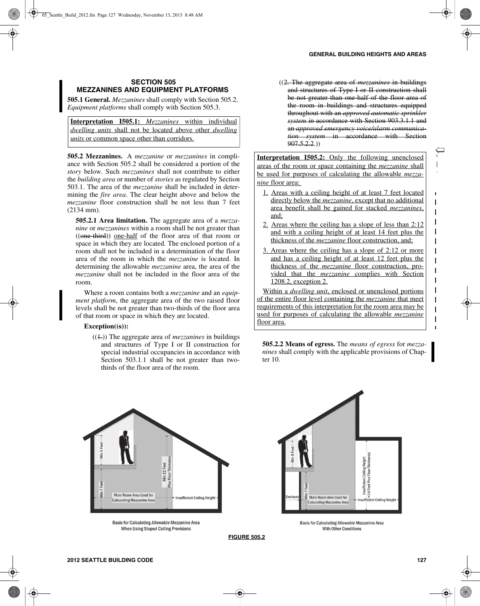$\Leftarrow$ 

## **SECTION 505 MEZZANINES AND EQUIPMENT PLATFORMS**

**505.1 General.** *Mezzanines* shall comply with Section 505.2. *Equipment platforms* shall comply with Section 505.3.

**Interpretation I505.1:** *Mezzanines* within individual *dwelling units* shall not be located above other *dwelling units* or common space other than corridors.

**505.2 Mezzanines.** A *mezzanine* or *mezzanines* in compliance with Section 505.2 shall be considered a portion of the *story* below. Such *mezzanines* shall not contribute to either the *building area* or number of *stories* as regulated by Section 503.1. The area of the *mezzanine* shall be included in determining the *fire area*. The clear height above and below the *mezzanine* floor construction shall be not less than 7 feet (2134 mm).

**505.2.1 Area limitation.** The aggregate area of a *mezzanine* or *mezzanines* within a room shall be not greater than ((one-third)) one-half of the floor area of that room or space in which they are located. The enclosed portion of a room shall not be included in a determination of the floor area of the room in which the *mezzanine* is located. In determining the allowable *mezzanine* area, the area of the *mezzanine* shall not be included in the floor area of the room.

Where a room contains both a *mezzanine* and an *equipment platform*, the aggregate area of the two raised floor levels shall be not greater than two-thirds of the floor area of that room or space in which they are located.

#### **Exception((s)):**

 $((1))$ . The aggregate area of *mezzanines* in buildings and structures of Type I or II construction for special industrial occupancies in accordance with Section 503.1.1 shall be not greater than twothirds of the floor area of the room.

((2. The aggregate area of *mezzanines* in buildings and structures of Type I or II construction shall be not greater than one half of the floor area of the room in buildings and structures equipped throughout with an *approved automatic sprinkler system* in accordance with Section 903.3.1.1 and an *approved emergency voice/alarm communication system* in accordance with Section  $907.5.2.2.1$ 

**Interpretation I505.2:** Only the following unenclosed areas of the room or space containing the *mezzanine* shall be used for purposes of calculating the allowable *mezzanine* floor area:

- 1. Areas with a ceiling height of at least 7 feet located directly below the *mezzanine*, except that no additional area benefit shall be gained for stacked *mezzanines*, and;
- 2. Areas where the ceiling has a slope of less than 2:12 and with a ceiling height of at least 14 feet plus the thickness of the *mezzanine* floor construction, and;
- 3. Areas where the ceiling has a slope of 2:12 or more and has a ceiling height of at least 12 feet plus the thickness of the *mezzanine* floor construction, provided that the *mezzanine* complies with Section 1208.2, exception 2.

Within a *dwelling unit*, enclosed or unenclosed portions of the entire floor level containing the *mezzanine* that meet requirements of this interpretation for the room area may be used for purposes of calculating the allowable *mezzanine* floor area.

**505.2.2 Means of egress.** The *means of egress* for *mezzanines* shall comply with the applicable provisions of Chapter 10.



**Basis for Calculating Allowable Mezzanine Area** When Using Sloped Ceiling Provisions



Basis for Calculating Allowable Mezzanine Area **With Other Conditions** 

**FIGURE 505.2**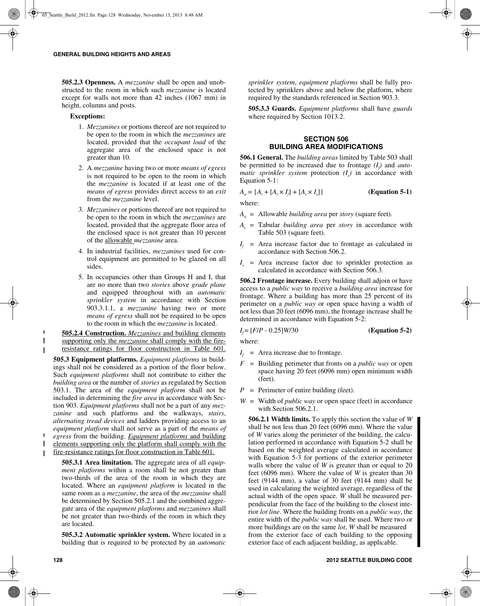**505.2.3 Openness.** A *mezzanine* shall be open and unobstructed to the room in which such *mezzanine* is located except for walls not more than 42 inches (1067 mm) in height, columns and posts.

## **Exceptions:**

- 1. *Mezzanines* or portions thereof are not required to be open to the room in which the *mezzanines* are located, provided that the *occupant load* of the aggregate area of the enclosed space is not greater than 10.
- 2. A *mezzanine* having two or more *means of egress* is not required to be open to the room in which the *mezzanine* is located if at least one of the *means of egress* provides direct access to an *exit* from the *mezzanine* level.
- 3. *Mezzanines* or portions thereof are not required to be open to the room in which the *mezzanines* are located, provided that the aggregate floor area of the enclosed space is not greater than 10 percent of the allowable *mezzanine* area.
- 4. In industrial facilities, *mezzanines* used for control equipment are permitted to be glazed on all sides.
- 5. In occupancies other than Groups H and I, that are no more than two *stories* above *grade plane* and equipped throughout with an *automatic sprinkler system* in accordance with Section 903.3.1.1, a *mezzanine* having two or more *means of egress* shall not be required to be open to the room in which the *mezzanine* is located.

**505.2.4 Construction.** *Mezzanines* and building elements supporting only the *mezzanine* shall comply with the fireresistance ratings for floor construction in Table 601.

**505.3 Equipment platforms.** *Equipment platforms* in buildings shall not be considered as a portion of the floor below. Such *equipment platforms* shall not contribute to either the *building area* or the number of *stories* as regulated by Section 503.1. The area of the *equipment platform* shall not be included in determining the *fire area* in accordance with Section 903. *Equipment platforms* shall not be a part of any *mezzanine* and such platforms and the walkways, *stairs*, *alternating tread devices* and ladders providing access to an *equipment platform* shall not serve as a part of the *means of egress* from the building. *Equipment platforms* and building elements supporting only the platform shall comply with the fire-resistance ratings for floor construction in Table 601.

**505.3.1 Area limitation.** The aggregate area of all *equipment platforms* within a room shall be not greater than two-thirds of the area of the room in which they are located. Where an *equipment platform* is located in the same room as a *mezzanine*, the area of the *mezzanine* shall be determined by Section 505.2.1 and the combined aggregate area of the *equipment platforms* and *mezzanines* shall be not greater than two-thirds of the room in which they are located.

**505.3.2 Automatic sprinkler system.** Where located in a building that is required to be protected by an *automatic* *sprinkler system*, *equipment platforms* shall be fully protected by sprinklers above and below the platform, where required by the standards referenced in Section 903.3.

**505.3.3 Guards.** *Equipment platforms* shall have *guards* where required by Section 1013.2.

## **SECTION 506 BUILDING AREA MODIFICATIONS**

**506.1 General.** The *building areas* limited by Table 503 shall be permitted to be increased due to frontage  $(I_f)$  and *automatic sprinkler system* protection *(Is )* in accordance with Equation 5-1:

$$
A_a = \{A_t + [A_t \times I_f] + [A_t \times I_s] \}
$$
 (Equation 5-1)

where:

- *Aa* = Allowable *building area* per *story* (square feet).
- $A_t$  = Tabular *building area* per *story* in accordance with Table 503 (square feet).
- $I_f$  = Area increase factor due to frontage as calculated in accordance with Section 506.2.
- $I<sub>s</sub>$  = Area increase factor due to sprinkler protection as calculated in accordance with Section 506.3.

**506.2 Frontage increase.** Every building shall adjoin or have access to a *public way* to receive a *building area* increase for frontage. Where a building has more than 25 percent of its perimeter on a *public way* or open space having a width of not less than 20 feet (6096 mm), the frontage increase shall be determined in accordance with Equation 5-2:

$$
I_f = [F/P - 0.25]W/30
$$
 (Equation 5-2)

where:

- $I_f$  = Area increase due to frontage.
- *F* = Building perimeter that fronts on a *public way* or open space having 20 feet (6096 mm) open minimum width (feet).
- *P* = Perimeter of entire building (feet).
- *W* = Width of *public way* or open space (feet) in accordance with Section 506.2.1.

**506.2.1 Width limits.** To apply this section the value of *W* shall be not less than 20 feet (6096 mm). Where the value of *W* varies along the perimeter of the building, the calculation performed in accordance with Equation 5-2 shall be based on the weighted average calculated in accordance with Equation 5-3 for portions of the exterior perimeter walls where the value of *W* is greater than or equal to 20 feet (6096 mm). Where the value of *W* is greater than 30 feet (9144 mm), a value of 30 feet (9144 mm) shall be used in calculating the weighted average, regardless of the actual width of the open space. *W* shall be measured perpendicular from the face of the building to the closest interior *lot line*. Where the building fronts on a *public way*, the entire width of the *public way* shall be used. Where two or more buildings are on the same *lot*, *W* shall be measured from the exterior face of each building to the opposing exterior face of each adjacent building, as applicable.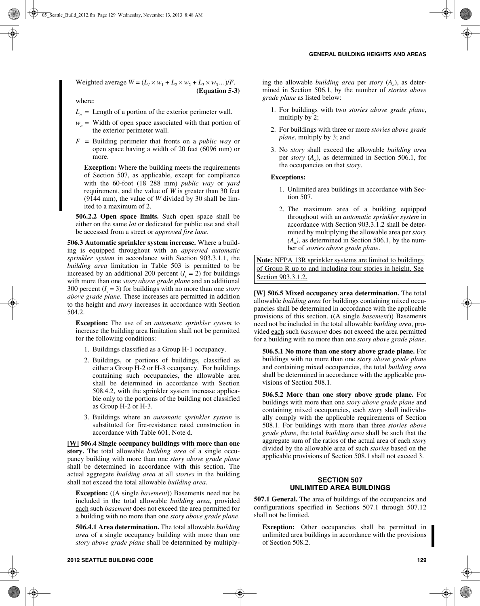Weighted average  $W = (L_1 \times w_1 + L_2 \times w_2 + L_3 \times w_3 \ldots)/F$ . **(Equation 5-3)**

where:

- $L =$  Length of a portion of the exterior perimeter wall.
- $w_n$  = Width of open space associated with that portion of the exterior perimeter wall.
- *F* = Building perimeter that fronts on a *public way* or open space having a width of 20 feet (6096 mm) or more.

**Exception:** Where the building meets the requirements of Section 507, as applicable, except for compliance with the 60-foot (18 288 mm) *public way* or *yard* requirement, and the value of *W* is greater than 30 feet (9144 mm), the value of *W* divided by 30 shall be limited to a maximum of 2.

**506.2.2 Open space limits.** Such open space shall be either on the same *lot* or dedicated for public use and shall be accessed from a street or *approved fire lane*.

**506.3 Automatic sprinkler system increase.** Where a building is equipped throughout with an *approved automatic sprinkler system* in accordance with Section 903.3.1.1, the *building area* limitation in Table 503 is permitted to be increased by an additional 200 percent  $(I_s = 2)$  for buildings with more than one *story above grade plane* and an additional 300 percent  $(I_s = 3)$  for buildings with no more than one *story above grade plane*. These increases are permitted in addition to the height and *story* increases in accordance with Section 504.2.

**Exception:** The use of an *automatic sprinkler system* to increase the building area limitation shall not be permitted for the following conditions:

- 1. Buildings classified as a Group H-1 occupancy.
- 2. Buildings, or portions of buildings, classified as either a Group H-2 or H-3 occupancy. For buildings containing such occupancies, the allowable area shall be determined in accordance with Section 508.4.2, with the sprinkler system increase applicable only to the portions of the building not classified as Group H-2 or H-3.
- 3. Buildings where an *automatic sprinkler system* is substituted for fire-resistance rated construction in accordance with Table 601, Note d.

**[W] 506.4 Single occupancy buildings with more than one story.** The total allowable *building area* of a single occupancy building with more than one *story above grade plane* shall be determined in accordance with this section. The actual aggregate *building area* at all *stories* in the building shall not exceed the total allowable *building area*.

**Exception:** ((A single *basement*)) <u>Basements</u> need not be included in the total allowable *building area*, provided each such *basement* does not exceed the area permitted for a building with no more than one *story above grade plane*.

**506.4.1 Area determination.** The total allowable *building area* of a single occupancy building with more than one *story above grade plane* shall be determined by multiply-

- 1. For buildings with two *stories above grade plane*, multiply by 2;
- 2. For buildings with three or more *stories above grade plane*, multiply by 3; and
- 3. No *story* shall exceed the allowable *building area* per *story*  $(A_{a})$ , as determined in Section 506.1, for the occupancies on that *story*.

#### **Exceptions:**

- 1. Unlimited area buildings in accordance with Section 507.
- 2. The maximum area of a building equipped throughout with an *automatic sprinkler system* in accordance with Section 903.3.1.2 shall be determined by multiplying the allowable area per *story*  $(A_a)$ , as determined in Section 506.1, by the number of *stories above grade plane*.

**Note:** NFPA 13R sprinkler systems are limited to buildings of Group R up to and including four stories in height. See Section 903.3.1.2.

**[W] 506.5 Mixed occupancy area determination.** The total allowable *building area* for buildings containing mixed occupancies shall be determined in accordance with the applicable provisions of this section. ((A single *basement*)) Basements need not be included in the total allowable *building area*, provided each such *basement* does not exceed the area permitted for a building with no more than one *story above grade plane*.

**506.5.1 No more than one story above grade plane.** For buildings with no more than one *story above grade plane* and containing mixed occupancies, the total *building area* shall be determined in accordance with the applicable provisions of Section 508.1.

**506.5.2 More than one story above grade plane.** For buildings with more than one *story above grade plane* and containing mixed occupancies, each *story* shall individually comply with the applicable requirements of Section 508.1. For buildings with more than three *stories above grade plane*, the total *building area* shall be such that the aggregate sum of the ratios of the actual area of each *story* divided by the allowable area of such *stories* based on the applicable provisions of Section 508.1 shall not exceed 3.

## **SECTION 507 UNLIMITED AREA BUILDINGS**

**507.1 General.** The area of buildings of the occupancies and configurations specified in Sections 507.1 through 507.12 shall not be limited.

**Exception:** Other occupancies shall be permitted in unlimited area buildings in accordance with the provisions of Section 508.2.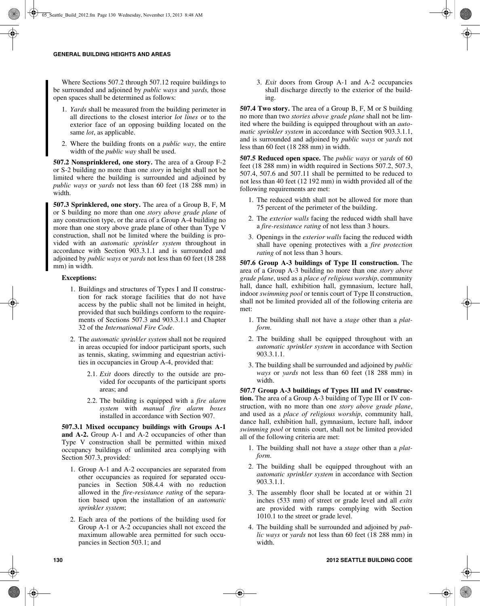Where Sections 507.2 through 507.12 require buildings to be surrounded and adjoined by *public ways* and *yards,* those open spaces shall be determined as follows:

- 1. *Yards* shall be measured from the building perimeter in all directions to the closest interior *lot lines* or to the exterior face of an opposing building located on the same *lot*, as applicable.
- 2. Where the building fronts on a *public way*, the entire width of the *public way* shall be used.

**507.2 Nonsprinklered, one story.** The area of a Group F-2 or S-2 building no more than one *story* in height shall not be limited where the building is surrounded and adjoined by *public ways* or *yards* not less than 60 feet (18 288 mm) in width.

**507.3 Sprinklered, one story.** The area of a Group B, F, M or S building no more than one *story above grade plane* of any construction type, or the area of a Group A-4 building no more than one story above grade plane of other than Type V construction, shall not be limited where the building is provided with an *automatic sprinkler system* throughout in accordance with Section 903.3.1.1 and is surrounded and adjoined by *public ways* or *yards* not less than 60 feet (18 288 mm) in width.

## **Exceptions:**

- 1. Buildings and structures of Types I and II construction for rack storage facilities that do not have access by the public shall not be limited in height, provided that such buildings conform to the requirements of Sections 507.3 and 903.3.1.1 and Chapter 32 of the *International Fire Code*.
- 2. The *automatic sprinkler system* shall not be required in areas occupied for indoor participant sports, such as tennis, skating, swimming and equestrian activities in occupancies in Group A-4, provided that:
	- 2.1. *Exit* doors directly to the outside are provided for occupants of the participant sports areas; and
	- 2.2. The building is equipped with a *fire alarm system* with *manual fire alarm boxes* installed in accordance with Section 907.

**507.3.1 Mixed occupancy buildings with Groups A-1** and A-2. Group A-1 and A-2 occupancies of other than Type V construction shall be permitted within mixed occupancy buildings of unlimited area complying with Section 507.3, provided:

- 1. Group A-1 and A-2 occupancies are separated from other occupancies as required for separated occupancies in Section 508.4.4 with no reduction allowed in the *fire-resistance rating* of the separation based upon the installation of an *automatic sprinkler system*;
- 2. Each area of the portions of the building used for Group A-1 or A-2 occupancies shall not exceed the maximum allowable area permitted for such occupancies in Section 503.1; and

3. *Exit* doors from Group A-1 and A-2 occupancies shall discharge directly to the exterior of the building.

**507.4 Two story.** The area of a Group B, F, M or S building no more than two *stories above grade plane* shall not be limited where the building is equipped throughout with an *automatic sprinkler system* in accordance with Section 903.3.1.1, and is surrounded and adjoined by *public ways* or *yards* not less than 60 feet (18 288 mm) in width.

**507.5 Reduced open space.** The *public ways* or *yards* of 60 feet (18 288 mm) in width required in Sections 507.2, 507.3, 507.4, 507.6 and 507.11 shall be permitted to be reduced to not less than 40 feet (12 192 mm) in width provided all of the following requirements are met:

- 1. The reduced width shall not be allowed for more than 75 percent of the perimeter of the building.
- 2. The *exterior walls* facing the reduced width shall have a *fire-resistance rating* of not less than 3 hours.
- 3. Openings in the *exterior walls* facing the reduced width shall have opening protectives with a *fire protection rating* of not less than 3 hours.

**507.6 Group A-3 buildings of Type II construction.** The area of a Group A-3 building no more than one *story above grade plane*, used as a *place of religious worship*, community hall, dance hall, exhibition hall, gymnasium, lecture hall, indoor *swimming pool* or tennis court of Type II construction, shall not be limited provided all of the following criteria are met:

- 1. The building shall not have a *stage* other than a *platform*.
- 2. The building shall be equipped throughout with an *automatic sprinkler system* in accordance with Section 903.3.1.1.
- 3. The building shall be surrounded and adjoined by *public ways* or *yards* not less than 60 feet (18 288 mm) in width.

**507.7 Group A-3 buildings of Types III and IV construction.** The area of a Group A-3 building of Type III or IV construction, with no more than one *story above grade plane*, and used as a *place of religious worship*, community hall, dance hall, exhibition hall, gymnasium, lecture hall, indoor *swimming pool* or tennis court, shall not be limited provided all of the following criteria are met:

- 1. The building shall not have a *stage* other than a *platform*.
- 2. The building shall be equipped throughout with an *automatic sprinkler system* in accordance with Section 903.3.1.1.
- 3. The assembly floor shall be located at or within 21 inches (533 mm) of street or grade level and all *exits* are provided with ramps complying with Section 1010.1 to the street or grade level.
- 4. The building shall be surrounded and adjoined by *public ways* or *yards* not less than 60 feet (18 288 mm) in width.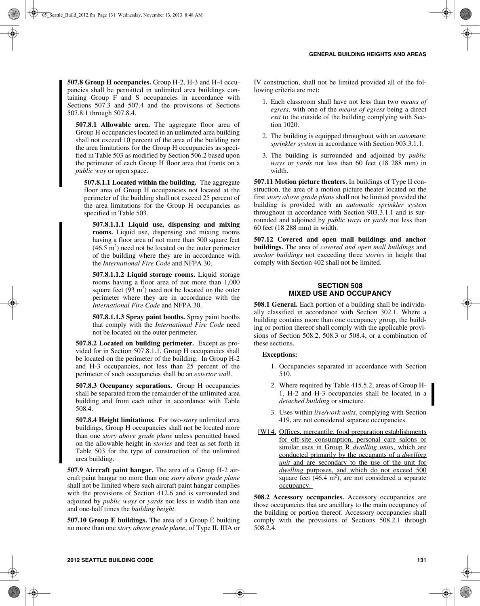**507.8 Group H occupancies.** Group H-2, H-3 and H-4 occupancies shall be permitted in unlimited area buildings containing Group F and S occupancies in accordance with Sections 507.3 and 507.4 and the provisions of Sections 507.8.1 through 507.8.4.

**507.8.1 Allowable area.** The aggregate floor area of Group H occupancies located in an unlimited area building shall not exceed 10 percent of the area of the building nor the area limitations for the Group H occupancies as specified in Table 503 as modified by Section 506.2 based upon the perimeter of each Group H floor area that fronts on a *public way* or open space.

**507.8.1.1 Located within the building.** The aggregate floor area of Group H occupancies not located at the perimeter of the building shall not exceed 25 percent of the area limitations for the Group H occupancies as specified in Table 503.

**507.8.1.1.1 Liquid use, dispensing and mixing rooms.** Liquid use, dispensing and mixing rooms having a floor area of not more than 500 square feet  $(46.5 \text{ m}^2)$  need not be located on the outer perimeter of the building where they are in accordance with the *International Fire Code* and NFPA 30.

**507.8.1.1.2 Liquid storage rooms.** Liquid storage rooms having a floor area of not more than 1,000 square feet  $(93 \text{ m}^2)$  need not be located on the outer perimeter where they are in accordance with the *International Fire Code* and NFPA 30.

**507.8.1.1.3 Spray paint booths.** Spray paint booths that comply with the *International Fire Code* need not be located on the outer perimeter.

**507.8.2 Located on building perimeter.** Except as provided for in Section 507.8.1.1, Group H occupancies shall be located on the perimeter of the building. In Group H-2 and H-3 occupancies, not less than 25 percent of the perimeter of such occupancies shall be an *exterior wall*.

**507.8.3 Occupancy separations.** Group H occupancies shall be separated from the remainder of the unlimited area building and from each other in accordance with Table 508.4.

**507.8.4 Height limitations.** For two-*story* unlimited area buildings, Group H occupancies shall not be located more than one *story above grade plane* unless permitted based on the allowable height in *stories* and feet as set forth in Table 503 for the type of construction of the unlimited area building.

**507.9 Aircraft paint hangar.** The area of a Group H-2 aircraft paint hangar no more than one *story above grade plane* shall not be limited where such aircraft paint hangar complies with the provisions of Section 412.6 and is surrounded and adjoined by *public ways* or *yards* not less in width than one and one-half times the *building height*.

**507.10 Group E buildings.** The area of a Group E building no more than one *story above grade plane*, of Type II, IIIA or IV construction, shall not be limited provided all of the following criteria are met:

- 1. Each classroom shall have not less than two *means of egress*, with one of the *means of egress* being a direct *exit* to the outside of the building complying with Section 1020.
- 2. The building is equipped throughout with an *automatic sprinkler system* in accordance with Section 903.3.1.1.
- 3. The building is surrounded and adjoined by *public ways* or *yards* not less than 60 feet (18 288 mm) in width.

**507.11 Motion picture theaters.** In buildings of Type II construction, the area of a motion picture theater located on the first *story above grade plane* shall not be limited provided the building is provided with an *automatic sprinkler system* throughout in accordance with Section 903.3.1.1 and is surrounded and adjoined by *public ways* or *yards* not less than 60 feet (18 288 mm) in width.

**507.12 Covered and open mall buildings and anchor buildings.** The area of *covered and open mall buildings* and *anchor buildings* not exceeding three *stories* in height that comply with Section 402 shall not be limited.

## **SECTION 508 MIXED USE AND OCCUPANCY**

**508.1 General.** Each portion of a building shall be individually classified in accordance with Section 302.1. Where a building contains more than one occupancy group, the building or portion thereof shall comply with the applicable provisions of Section 508.2, 508.3 or 508.4, or a combination of these sections.

## **Exceptions:**

- 1. Occupancies separated in accordance with Section 510.
- 2. Where required by Table 415.5.2, areas of Group H-1, H-2 and H-3 occupancies shall be located in a *detached building* or structure.
- 3. Uses within *live/work units*, complying with Section 419, are not considered separate occupancies.
- [W] 4. Offices, mercantile, food preparation establishments for off-site consumption, personal care salons or similar uses in Group R *dwelling units*, which are conducted primarily by the occupants of a *dwelling unit* and are secondary to the use of the unit for *dwelling* purposes, and which do not exceed 500 square feet  $(46.4 \text{ m}^2)$ , are not considered a separate occupancy.

**508.2 Accessory occupancies.** Accessory occupancies are those occupancies that are ancillary to the main occupancy of the building or portion thereof. Accessory occupancies shall comply with the provisions of Sections 508.2.1 through 508.2.4.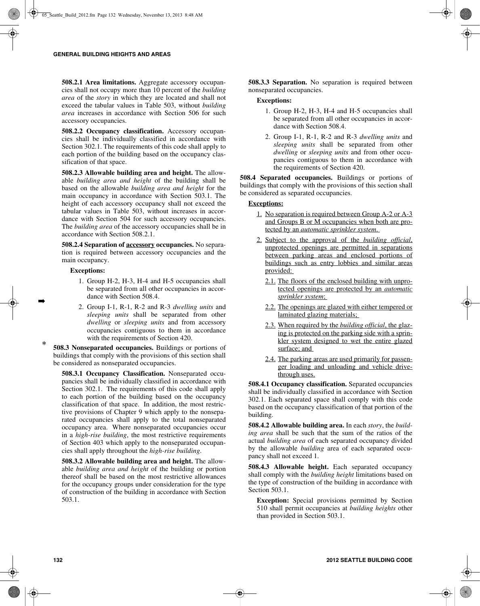**508.2.1 Area limitations.** Aggregate accessory occupancies shall not occupy more than 10 percent of the *building area* of the *story* in which they are located and shall not exceed the tabular values in Table 503, without *building area* increases in accordance with Section 506 for such accessory occupancies.

**508.2.2 Occupancy classification.** Accessory occupancies shall be individually classified in accordance with Section 302.1. The requirements of this code shall apply to each portion of the building based on the occupancy classification of that space.

**508.2.3 Allowable building area and height.** The allowable *building area and height* of the building shall be based on the allowable *building area and height* for the main occupancy in accordance with Section 503.1. The height of each accessory occupancy shall not exceed the tabular values in Table 503, without increases in accordance with Section 504 for such accessory occupancies. The *building area* of the accessory occupancies shall be in accordance with Section 508.2.1.

**508.2.4 Separation of accessory occupancies.** No separation is required between accessory occupancies and the main occupancy.

#### **Exceptions:**

➡

\*

- 1. Group H-2, H-3, H-4 and H-5 occupancies shall be separated from all other occupancies in accordance with Section 508.4.
- 2. Group I-1, R-1, R-2 and R-3 *dwelling units* and *sleeping units* shall be separated from other *dwelling* or *sleeping units* and from accessory occupancies contiguous to them in accordance with the requirements of Section 420.

**508.3 Nonseparated occupancies.** Buildings or portions of buildings that comply with the provisions of this section shall be considered as nonseparated occupancies.

**508.3.1 Occupancy Classification.** Nonseparated occupancies shall be individually classified in accordance with Section 302.1. The requirements of this code shall apply to each portion of the building based on the occupancy classification of that space. In addition, the most restrictive provisions of Chapter 9 which apply to the nonseparated occupancies shall apply to the total nonseparated occupancy area. Where nonseparated occupancies occur in a *high-rise building*, the most restrictive requirements of Section 403 which apply to the nonseparated occupancies shall apply throughout the *high-rise building*.

**508.3.2 Allowable building area and height.** The allowable *building area and height* of the building or portion thereof shall be based on the most restrictive allowances for the occupancy groups under consideration for the type of construction of the building in accordance with Section 503.1.

**508.3.3 Separation.** No separation is required between nonseparated occupancies.

## **Exceptions:**

- 1. Group H-2, H-3, H-4 and H-5 occupancies shall be separated from all other occupancies in accordance with Section 508.4.
- 2. Group I-1, R-1, R-2 and R-3 *dwelling units* and *sleeping units* shall be separated from other *dwelling* or *sleeping units* and from other occupancies contiguous to them in accordance with the requirements of Section 420.

**508.4 Separated occupancies.** Buildings or portions of buildings that comply with the provisions of this section shall be considered as separated occupancies.

## **Exceptions:**

- 1. No separation is required between Group A-2 or A-3 and Groups B or M occupancies when both are protected by an *automatic sprinkler system*.
- 2. Subject to the approval of the *building official*, unprotected openings are permitted in separations between parking areas and enclosed portions of buildings such as entry lobbies and similar areas provided:
	- 2.1. The floors of the enclosed building with unprotected openings are protected by an *automatic sprinkler system*;
	- 2.2. The openings are glazed with either tempered or laminated glazing materials;
	- 2.3. When required by the *building official*, the glazing is protected on the parking side with a sprinkler system designed to wet the entire glazed surface; and
	- 2.4. The parking areas are used primarily for passenger loading and unloading and vehicle drivethrough uses.

**508.4.1 Occupancy classification.** Separated occupancies shall be individually classified in accordance with Section 302.1. Each separated space shall comply with this code based on the occupancy classification of that portion of the building.

**508.4.2 Allowable building area.** In each *story*, the *building area* shall be such that the sum of the ratios of the actual *building area* of each separated occupancy divided by the allowable *building* area of each separated occupancy shall not exceed 1.

**508.4.3 Allowable height.** Each separated occupancy shall comply with the *building height* limitations based on the type of construction of the building in accordance with Section 503.1.

**Exception:** Special provisions permitted by Section 510 shall permit occupancies at *building heights* other than provided in Section 503.1.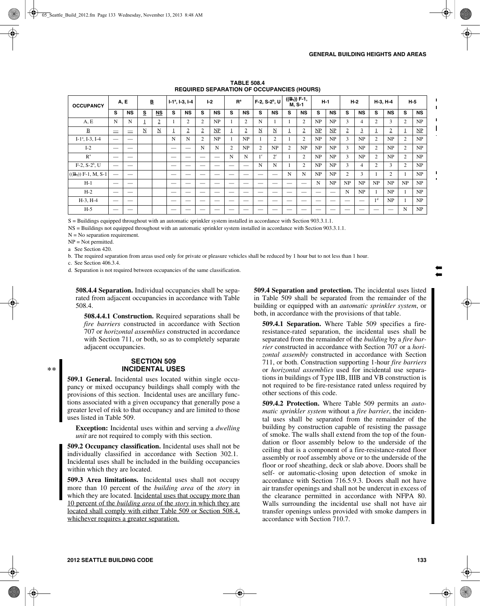| <b>OCCUPANCY</b>        | A, E                           |                          | $\overline{\mathbf{B}}$ |                | $1-1^a$ , $1-3$ , $1-4$ |                | L <sub>2</sub>           |                          | $R^a$  |                | $F-2, S-2^b, U$ |                          | $((B,))$ F-1,<br>M, S-1 |                          | $H-1$ |           | $H-2$          |                | $H-3. H-4$     |                | $H-5$          |           |
|-------------------------|--------------------------------|--------------------------|-------------------------|----------------|-------------------------|----------------|--------------------------|--------------------------|--------|----------------|-----------------|--------------------------|-------------------------|--------------------------|-------|-----------|----------------|----------------|----------------|----------------|----------------|-----------|
|                         | s                              | <b>NS</b>                | $\mathbf{s}$            | <b>NS</b>      | s                       | <b>NS</b>      | s                        | <b>NS</b>                | s      | <b>NS</b>      | s               | <b>NS</b>                | s                       | <b>NS</b>                | s     | <b>NS</b> | s              | <b>NS</b>      | s              | <b>NS</b>      | s              | <b>NS</b> |
| A, E                    | N                              | N                        |                         | $\overline{2}$ |                         | $\overline{2}$ | $\overline{c}$           | NP                       |        | $\overline{2}$ | N               |                          |                         | $\overline{2}$           | NP    | NP        | 3              | $\overline{4}$ | $\overline{2}$ | 3              | 2              | NP        |
| $\overline{B}$          | $=$                            | $\equiv$                 | $\mathbf N$             | $\mathbf N$    |                         | $\overline{2}$ | $\overline{2}$           | NP                       | Ŧ.     | $\overline{2}$ | N               | N                        |                         | $\overline{2}$           | NP    | NP        | $\overline{2}$ | $\overline{3}$ | $\overline{1}$ | $\overline{2}$ | Τ              | NP        |
| $I-1^a$ , $I-3$ , $I-4$ | $\hspace{0.05cm}$              |                          |                         |                | N                       | N              | $\overline{c}$           | NP                       |        | NP             |                 | 2                        |                         | 2                        | NP    | NP        | 3              | NP             | $\overline{2}$ | NP             | 2              | NP        |
| $I-2$                   | $\overline{\phantom{m}}$       |                          |                         |                | ——                      | e e            | N                        | N                        | 2      | NP             | 2               | NP                       | 2                       | NP                       | NP    | NP        | 3              | NP             | $\overline{2}$ | NP             | $\overline{2}$ | NP        |
| R <sup>a</sup>          | ——                             |                          |                         |                | —                       | $\sim$         |                          | $\overline{\phantom{m}}$ | N      | N              | $1^{\circ}$     | $2^{\circ}$              |                         | 2                        | NP    | NP        | 3              | NP             | $\overline{2}$ | NP             | 2              | NP        |
| $F-2$ , $S-2^b$ , U     | $\hspace{0.05cm}$              | $\overline{\phantom{a}}$ |                         |                |                         | --             | $\sim$                   | $\sim$                   | $\sim$ |                | N               | N                        |                         | $\overline{2}$           | NP    | NP.       | 3              | $\overline{4}$ | $\overline{2}$ | 3              | $\mathfrak{2}$ | NP        |
| $((B_7))$ F-1, M, S-1   | $\qquad \qquad \longleftarrow$ | $\overline{\phantom{a}}$ |                         |                | --                      |                |                          |                          | --     |                | $\sim$          | $\overline{\phantom{a}}$ | N                       | N                        | NP    | NP        | $\overline{2}$ | 3              |                | 2              |                | NP        |
| $H-1$                   | $\overline{\phantom{m}}$       | $\overline{\phantom{a}}$ |                         |                | —                       | --             | $\overline{\phantom{a}}$ |                          |        |                |                 |                          |                         | $\overline{\phantom{0}}$ | N     | NP        | NP             | NP             | NP             | NP             | NP             | NP        |
| $H-2$                   | $\hspace{0.05cm}$              |                          |                         |                | —                       | --             |                          |                          |        |                |                 |                          |                         |                          | --    | --        | N              | NP             |                | NP             |                | NP        |
| $H-3, H-4$              |                                | $\sim$                   |                         |                | $\sim$                  |                | $\sim$                   |                          | $\sim$ | $\sim$         | $\sim$          | $\sim$                   |                         | $\sim$                   |       | $\sim$    | $\sim$         | $\sim$         | 1 <sup>d</sup> | NP             |                | <b>NP</b> |
| $H-5$                   |                                |                          |                         |                |                         |                |                          |                          |        |                |                 |                          |                         |                          |       |           |                |                |                | —              | N              | NP        |

**TABLE 508.4 REQUIRED SEPARATION OF OCCUPANCIES (HOURS)**

S = Buildings equipped throughout with an automatic sprinkler system installed in accordance with Section 903.3.1.1.

NS = Buildings not equipped throughout with an automatic sprinkler system installed in accordance with Section 903.3.1.1.

 $N = No$  separation requirement.

NP = Not permitted.

a See Section 420.

b. The required separation from areas used only for private or pleasure vehicles shall be reduced by 1 hour but to not less than 1 hour.

c. See Section 406.3.4.

d. Separation is not required between occupancies of the same classification.

**508.4.4 Separation.** Individual occupancies shall be separated from adjacent occupancies in accordance with Table 508.4.

**508.4.4.1 Construction.** Required separations shall be *fire barriers* constructed in accordance with Section 707 or *horizontal assemblies* constructed in accordance with Section 711, or both, so as to completely separate adjacent occupancies.

#### **SECTION 509 INCIDENTAL USES**

**509.1 General.** Incidental uses located within single occupancy or mixed occupancy buildings shall comply with the provisions of this section. Incidental uses are ancillary functions associated with a given occupancy that generally pose a greater level of risk to that occupancy and are limited to those uses listed in Table 509.

**Exception:** Incidental uses within and serving a *dwelling unit* are not required to comply with this section.

**509.2 Occupancy classification.** Incidental uses shall not be individually classified in accordance with Section 302.1. Incidental uses shall be included in the building occupancies within which they are located.

**509.3 Area limitations.** Incidental uses shall not occupy more than 10 percent of the *building area* of the *story* in which they are located. Incidental uses that occupy more than 10 percent of the *building area* of the *story* in which they are located shall comply with either Table 509 or Section 508.4, whichever requires a greater separation.

**509.4 Separation and protection.** The incidental uses listed in Table 509 shall be separated from the remainder of the building or equipped with an *automatic sprinkler system*, or both, in accordance with the provisions of that table.

**509.4.1 Separation.** Where Table 509 specifies a fireresistance-rated separation, the incidental uses shall be separated from the remainder of the *building* by a *fire barrier* constructed in accordance with Section 707 or a *horizontal assembly* constructed in accordance with Section 711, or both. Construction supporting 1-hour *fire barriers* or *horizontal assemblies* used for incidental use separations in buildings of Type IIB, IIIB and VB construction is not required to be fire-resistance rated unless required by other sections of this code.

**509.4.2 Protection.** Where Table 509 permits an *automatic sprinkler system* without a *fire barrier*, the incidental uses shall be separated from the remainder of the building by construction capable of resisting the passage of smoke. The walls shall extend from the top of the foundation or floor assembly below to the underside of the ceiling that is a component of a fire-resistance-rated floor assembly or roof assembly above or to the underside of the floor or roof sheathing, deck or slab above. Doors shall be self- or automatic-closing upon detection of smoke in accordance with Section 716.5.9.3. Doors shall not have air transfer openings and shall not be undercut in excess of the clearance permitted in accordance with NFPA 80. Walls surrounding the incidental use shall not have air transfer openings unless provided with smoke dampers in accordance with Section 710.7.

➡ ➡

 $\mathbf{L}$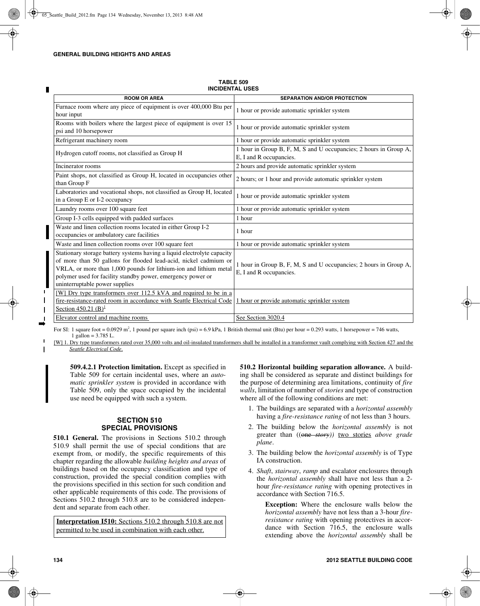➡

#### **TABLE 509 INCIDENTAL USES**

| <b>ROOM OR AREA</b>                                                                                                                                                                                                                                                                                               | <b>SEPARATION AND/OR PROTECTION</b>                                                          |
|-------------------------------------------------------------------------------------------------------------------------------------------------------------------------------------------------------------------------------------------------------------------------------------------------------------------|----------------------------------------------------------------------------------------------|
| Furnace room where any piece of equipment is over 400,000 Btu per<br>hour input                                                                                                                                                                                                                                   | 1 hour or provide automatic sprinkler system                                                 |
| Rooms with boilers where the largest piece of equipment is over 15<br>psi and 10 horsepower                                                                                                                                                                                                                       | 1 hour or provide automatic sprinkler system                                                 |
| Refrigerant machinery room                                                                                                                                                                                                                                                                                        | 1 hour or provide automatic sprinkler system                                                 |
| Hydrogen cutoff rooms, not classified as Group H                                                                                                                                                                                                                                                                  | 1 hour in Group B, F, M, S and U occupancies; 2 hours in Group A,<br>E, I and R occupancies. |
| Incinerator rooms                                                                                                                                                                                                                                                                                                 | 2 hours and provide automatic sprinkler system                                               |
| Paint shops, not classified as Group H, located in occupancies other<br>than Group F                                                                                                                                                                                                                              | 2 hours; or 1 hour and provide automatic sprinkler system                                    |
| Laboratories and vocational shops, not classified as Group H, located<br>in a Group E or I-2 occupancy                                                                                                                                                                                                            | 1 hour or provide automatic sprinkler system                                                 |
| Laundry rooms over 100 square feet                                                                                                                                                                                                                                                                                | 1 hour or provide automatic sprinkler system                                                 |
| Group I-3 cells equipped with padded surfaces                                                                                                                                                                                                                                                                     | 1 hour                                                                                       |
| Waste and linen collection rooms located in either Group I-2<br>occupancies or ambulatory care facilities                                                                                                                                                                                                         | 1 hour                                                                                       |
| Waste and linen collection rooms over 100 square feet                                                                                                                                                                                                                                                             | 1 hour or provide automatic sprinkler system                                                 |
| Stationary storage battery systems having a liquid electrolyte capacity<br>of more than 50 gallons for flooded lead-acid, nickel cadmium or<br>VRLA, or more than 1,000 pounds for lithium-ion and lithium metal<br>polymer used for facility standby power, emergency power or<br>uninterruptable power supplies | 1 hour in Group B, F, M, S and U occupancies; 2 hours in Group A,<br>E, I and R occupancies. |
| [W] Dry type transformers over 112.5 kVA and required to be in a<br>fire-resistance-rated room in accordance with Seattle Electrical Code   1 hour or provide automatic sprinkler system<br>Section 450.21 $(B)^1$                                                                                                |                                                                                              |
| Elevator control and machine rooms                                                                                                                                                                                                                                                                                | See Section 3020.4                                                                           |

For SI: 1 square foot =  $0.0929$  m<sup>2</sup>, 1 pound per square inch (psi) =  $6.9$  kPa, 1 British thermal unit (Btu) per hour =  $0.293$  watts, 1 horsepower = 746 watts, 1 gallon = 3.785 L.

[W] 1. Dry type transformers rated over 35,000 volts and oil-insulated transformers shall be installed in a transformer vault complying with Section 427 and the *Seattle Electrical Code*.

**509.4.2.1 Protection limitation.** Except as specified in Table 509 for certain incidental uses, where an *automatic sprinkler system* is provided in accordance with Table 509, only the space occupied by the incidental use need be equipped with such a system.

## **SECTION 510 SPECIAL PROVISIONS**

**510.1 General.** The provisions in Sections 510.2 through 510.9 shall permit the use of special conditions that are exempt from, or modify, the specific requirements of this chapter regarding the allowable *building heights and areas* of buildings based on the occupancy classification and type of construction, provided the special condition complies with the provisions specified in this section for such condition and other applicable requirements of this code. The provisions of Sections 510.2 through 510.8 are to be considered independent and separate from each other.

**Interpretation I510:** Sections 510.2 through 510.8 are not permitted to be used in combination with each other.

**510.2 Horizontal building separation allowance.** A building shall be considered as separate and distinct buildings for the purpose of determining area limitations, continuity of *fire walls*, limitation of number of *stories* and type of construction where all of the following conditions are met:

- 1. The buildings are separated with a *horizontal assembly* having a *fire-resistance rating* of not less than 3 hours.
- 2. The building below the *horizontal assembly* is not greater than ((one *story))* two stories *above grade plane*.
- 3. The building below the *horizontal assembly* is of Type IA construction.
- 4. *Shaft*, *stairway*, *ramp* and escalator enclosures through the *horizontal assembly* shall have not less than a 2 hour *fire-resistance rating* with opening protectives in accordance with Section 716.5.

**Exception:** Where the enclosure walls below the *horizontal assembly* have not less than a 3-hour *fireresistance rating* with opening protectives in accordance with Section 716.5, the enclosure walls extending above the *horizontal assembly* shall be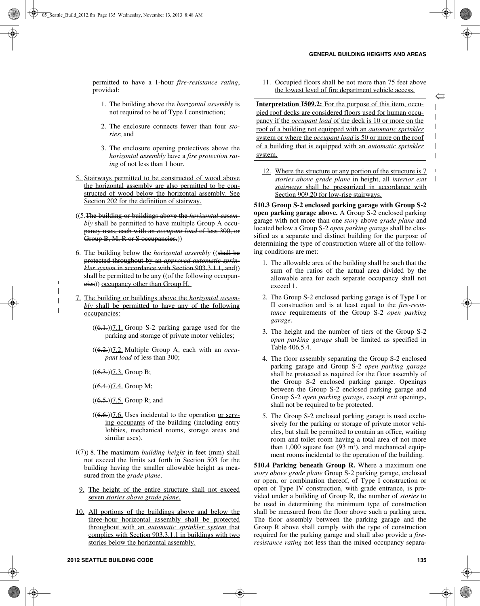$\Leftarrow$ 

 $\blacksquare$ 

permitted to have a 1-hour *fire-resistance rating*, provided:

- 1. The building above the *horizontal assembly* is not required to be of Type I construction;
- 2. The enclosure connects fewer than four *stories*; and
- 3. The enclosure opening protectives above the *horizontal assembly* have a *fire protection rating* of not less than 1 hour.
- 5. Stairways permitted to be constructed of wood above the horizontal assembly are also permitted to be constructed of wood below the horizontal assembly. See Section 202 for the definition of stairway.
- ((5.The building or buildings above the *horizontal assembly* shall be permitted to have multiple Group A occupancy uses, each with an *occupant load* of less 300, or Group B, M, R or S occupancies.))
- 6. The building below the *horizontal assembly* ((shall be protected throughout by an *approved automatic sprinkler system* in accordance with Section 903.3.1.1, and)) shall be permitted to be any ((of the following occupancies)) occupancy other than Group H.
- 7. The building or buildings above the *horizontal assembly* shall be permitted to have any of the following occupancies:
	- $((6.1.))7.1$ . Group S-2 parking garage used for the parking and storage of private motor vehicles;
	- ((6.2.))7.2. Multiple Group A, each with an *occupant load* of less than 300;
	- $((6.3.))7.3.$  Group B;

 $\blacksquare$  $\overline{1}$  $\mathbf{I}$ 

- $((6.4.))7.4.$  Group M;
- $((6.5.))7.5.$  Group R; and
- $((6.6))$ . Uses incidental to the operation or serving occupants of the building (including entry lobbies, mechanical rooms, storage areas and similar uses).
- ((7)) 8. The maximum *building height* in feet (mm) shall not exceed the limits set forth in Section 503 for the building having the smaller allowable height as measured from the *grade plane*.
- 9. The height of the entire structure shall not exceed seven *stories above grade plane*.
- 10. All portions of the buildings above and below the three-hour horizontal assembly shall be protected throughout with an *automatic sprinkler system* that complies with Section 903.3.1.1 in buildings with two stories below the horizontal assembly.

11. Occupied floors shall be not more than 75 feet above the lowest level of fire department vehicle access.

**Interpretation I509.2:** For the purpose of this item, occupied roof decks are considered floors used for human occupancy if the *occupant load* of the deck is 10 or more on the roof of a building not equipped with an *automatic sprinkler* system or where the *occupant load* is 50 or more on the roof of a building that is equipped with an *automatic sprinkler* system.

12. Where the structure or any portion of the structure is 7 *stories above grade plane* in height, all *interior exit stairways* shall be pressurized in accordance with Section 909.20 for low-rise stairways.

**510.3 Group S-2 enclosed parking garage with Group S-2 open parking garage above.** A Group S-2 enclosed parking garage with not more than one *story* above *grade plane* and located below a Group S-2 *open parking garage* shall be classified as a separate and distinct building for the purpose of determining the type of construction where all of the following conditions are met:

- 1. The allowable area of the building shall be such that the sum of the ratios of the actual area divided by the allowable area for each separate occupancy shall not exceed 1.
- 2. The Group S-2 enclosed parking garage is of Type I or II construction and is at least equal to the *fire-resistance* requirements of the Group S-2 *open parking garage*.
- 3. The height and the number of tiers of the Group S-2 *open parking garage* shall be limited as specified in Table 406.5.4.
- 4. The floor assembly separating the Group S-2 enclosed parking garage and Group S-2 *open parking garage* shall be protected as required for the floor assembly of the Group S-2 enclosed parking garage. Openings between the Group S-2 enclosed parking garage and Group S-2 *open parking garage*, except *exit* openings, shall not be required to be protected.
- 5. The Group S-2 enclosed parking garage is used exclusively for the parking or storage of private motor vehicles, but shall be permitted to contain an office, waiting room and toilet room having a total area of not more than 1,000 square feet  $(93 \text{ m}^2)$ , and mechanical equipment rooms incidental to the operation of the building.

**510.4 Parking beneath Group R.** Where a maximum one *story above grade plane* Group S-2 parking garage, enclosed or open, or combination thereof, of Type I construction or open of Type IV construction, with grade entrance, is provided under a building of Group R, the number of *stories* to be used in determining the minimum type of construction shall be measured from the floor above such a parking area. The floor assembly between the parking garage and the Group R above shall comply with the type of construction required for the parking garage and shall also provide a *fireresistance rating* not less than the mixed occupancy separa